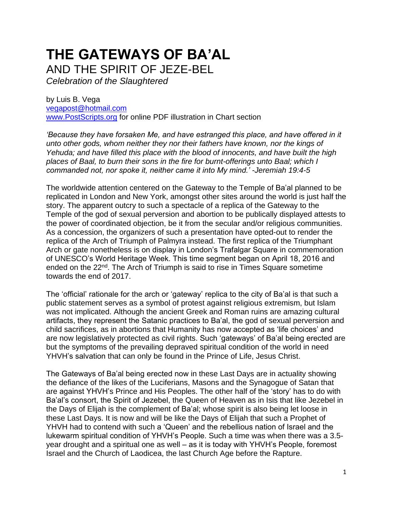# **THE GATEWAYS OF BA'AL** AND THE SPIRIT OF JEZE-BEL

*Celebration of the Slaughtered*

by Luis B. Vega [vegapost@hotmail.com](mailto:vegapost@hotmail.com) [www.PostScripts.org](http://www.postscripts.org/) for online PDF illustration in Chart section

*'Because they have forsaken Me, and have estranged this place, and have offered in it unto other gods, whom neither they nor their fathers have known, nor the kings of Yehuda; and have filled this place with the blood of innocents, and have built the high places of Baal, to burn their sons in the fire for burnt-offerings unto Baal; which I commanded not, nor spoke it, neither came it into My mind.' -Jeremiah 19:4-5* 

The worldwide attention centered on the Gateway to the Temple of Ba'al planned to be replicated in London and New York, amongst other sites around the world is just half the story. The apparent outcry to such a spectacle of a replica of the Gateway to the Temple of the god of sexual perversion and abortion to be publically displayed attests to the power of coordinated objection, be it from the secular and/or religious communities. As a concession, the organizers of such a presentation have opted-out to render the replica of the Arch of Triumph of Palmyra instead. The first replica of the Triumphant Arch or gate nonetheless is on display in London's Trafalgar Square in commemoration of UNESCO's World Heritage Week. This time segment began on April 18, 2016 and ended on the 22<sup>nd</sup>. The Arch of Triumph is said to rise in Times Square sometime towards the end of 2017.

The 'official' rationale for the arch or 'gateway' replica to the city of Ba'al is that such a public statement serves as a symbol of protest against religious extremism, but Islam was not implicated. Although the ancient Greek and Roman ruins are amazing cultural artifacts, they represent the Satanic practices to Ba'al, the god of sexual perversion and child sacrifices, as in abortions that Humanity has now accepted as 'life choices' and are now legislatively protected as civil rights. Such 'gateways' of Ba'al being erected are but the symptoms of the prevailing depraved spiritual condition of the world in need YHVH's salvation that can only be found in the Prince of Life, Jesus Christ.

The Gateways of Ba'al being erected now in these Last Days are in actuality showing the defiance of the likes of the Luciferians, Masons and the Synagogue of Satan that are against YHVH's Prince and His Peoples. The other half of the 'story' has to do with Ba'al's consort, the Spirit of Jezebel, the Queen of Heaven as in Isis that like Jezebel in the Days of Elijah is the complement of Ba'al; whose spirit is also being let loose in these Last Days. It is now and will be like the Days of Elijah that such a Prophet of YHVH had to contend with such a 'Queen' and the rebellious nation of Israel and the lukewarm spiritual condition of YHVH's People. Such a time was when there was a 3.5 year drought and a spiritual one as well – as it is today with YHVH's People, foremost Israel and the Church of Laodicea, the last Church Age before the Rapture.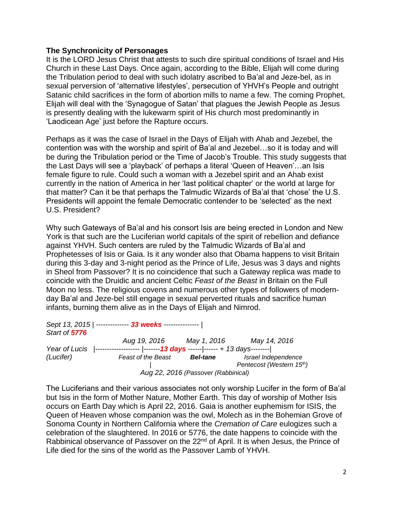## **The Synchronicity of Personages**

It is the LORD Jesus Christ that attests to such dire spiritual conditions of Israel and His Church in these Last Days. Once again, according to the Bible, Elijah will come during the Tribulation period to deal with such idolatry ascribed to Ba'al and Jeze-bel, as in sexual perversion of 'alternative lifestyles', persecution of YHVH's People and outright Satanic child sacrifices in the form of abortion mills to name a few. The coming Prophet, Elijah will deal with the 'Synagogue of Satan' that plagues the Jewish People as Jesus is presently dealing with the lukewarm spirit of His church most predominantly in 'Laodicean Age' just before the Rapture occurs.

Perhaps as it was the case of Israel in the Days of Elijah with Ahab and Jezebel, the contention was with the worship and spirit of Ba'al and Jezebel…so it is today and will be during the Tribulation period or the Time of Jacob's Trouble. This study suggests that the Last Days will see a 'playback' of perhaps a literal 'Queen of Heaven'…an Isis female figure to rule. Could such a woman with a Jezebel spirit and an Ahab exist currently in the nation of America in her 'last political chapter' or the world at large for that matter? Can it be that perhaps the Talmudic Wizards of Ba'al that 'chose' the U.S. Presidents will appoint the female Democratic contender to be 'selected' as the next U.S. President?

Why such Gateways of Ba'al and his consort Isis are being erected in London and New York is that such are the Luciferian world capitals of the spirit of rebellion and defiance against YHVH. Such centers are ruled by the Talmudic Wizards of Ba'al and Prophetesses of Isis or Gaia. Is it any wonder also that Obama happens to visit Britain during this 3-day and 3-night period as the Prince of Life, Jesus was 3 days and nights in Sheol from Passover? It is no coincidence that such a Gateway replica was made to coincide with the Druidic and ancient Celtic *Feast of the Beast* in Britain on the Full Moon no less. The religious covens and numerous other types of followers of modernday Ba'al and Jeze-bel still engage in sexual perverted rituals and sacrifice human infants, burning them alive as in the Days of Elijah and Nimrod.

*Sept 13, 2015 | -------------- 33 weeks --------------- | Start of 5776 Aug 19, 2016 May 1, 2016 May 14, 2016 Year of Lucis |------------------- |-------13 days ------|------ + 13 days--------| (Lucifer) Feast of the Beast Bel-tane Israel Independence | Pentecost (Western 15th) Aug 22, 2016 (Passover (Rabbinical)*

The Luciferians and their various associates not only worship Lucifer in the form of Ba'al but Isis in the form of Mother Nature, Mother Earth. This day of worship of Mother Isis occurs on Earth Day which is April 22, 2016. Gaia is another euphemism for ISIS, the Queen of Heaven whose companion was the owl, Molech as in the Bohemian Grove of Sonoma County in Northern California where the *Cremation of Care* eulogizes such a celebration of the slaughtered. In 2016 or 5776, the date happens to coincide with the Rabbinical observance of Passover on the 22<sup>nd</sup> of April. It is when Jesus, the Prince of Life died for the sins of the world as the Passover Lamb of YHVH.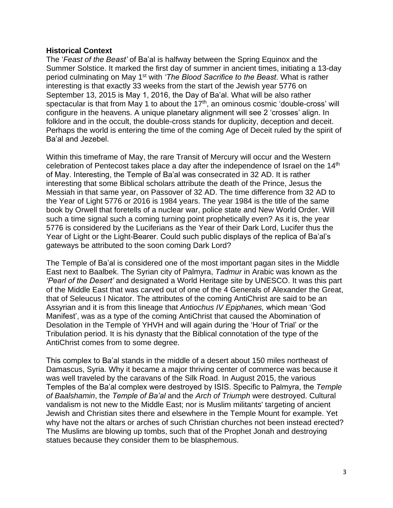# **Historical Context**

The '*Feast of the Beast'* of Ba'al is halfway between the Spring Equinox and the Summer Solstice. It marked the first day of summer in ancient times, initiating a 13-day period culminating on May 1st with *'The Blood Sacrifice to the Beast*. What is rather interesting is that exactly 33 weeks from the start of the Jewish year 5776 on September 13, 2015 is May 1, 2016, the Day of Ba'al. What will be also rather spectacular is that from May 1 to about the  $17<sup>th</sup>$ , an ominous cosmic 'double-cross' will configure in the heavens. A unique planetary alignment will see 2 'crosses' align. In folklore and in the occult, the double-cross stands for duplicity, deception and deceit. Perhaps the world is entering the time of the coming Age of Deceit ruled by the spirit of Ba'al and Jezebel.

Within this timeframe of May, the rare Transit of Mercury will occur and the Western celebration of Pentecost takes place a day after the independence of Israel on the  $14<sup>th</sup>$ of May. Interesting, the Temple of Ba'al was consecrated in 32 AD. It is rather interesting that some Biblical scholars attribute the death of the Prince, Jesus the Messiah in that same year, on Passover of 32 AD. The time difference from 32 AD to the Year of Light 5776 or 2016 is 1984 years. The year 1984 is the title of the same book by Orwell that foretells of a nuclear war, police state and New World Order. Will such a time signal such a coming turning point prophetically even? As it is, the year 5776 is considered by the Luciferians as the Year of their Dark Lord, Lucifer thus the Year of Light or the Light-Bearer. Could such public displays of the replica of Ba'al's gateways be attributed to the soon coming Dark Lord?

The Temple of Ba'al is considered one of the most important pagan sites in the Middle East next to Baalbek. The Syrian city of Palmyra, *Tadmur* in Arabic was known as the *'Pearl of the Desert'* and designated a World Heritage site by UNESCO. It was this part of the Middle East that was carved out of one of the 4 Generals of Alexander the Great, that of Seleucus I Nicator. The attributes of the coming AntiChrist are said to be an Assyrian and it is from this lineage that *Antiochus IV Epiphanes,* which mean 'God Manifest', was as a type of the coming AntiChrist that caused the Abomination of Desolation in the Temple of YHVH and will again during the 'Hour of Trial' or the Tribulation period. It is his dynasty that the Biblical connotation of the type of the AntiChrist comes from to some degree.

This complex to Ba'al stands in the middle of a desert about 150 miles northeast of Damascus, Syria. Why it became a major thriving center of commerce was because it was well traveled by the caravans of the Silk Road. In August 2015, the various Temples of the Ba'al complex were destroyed by ISIS. Specific to Palmyra, the *Temple of Baalshamin*, the *Temple of Ba'al* and the *Arch of Triumph* were destroyed. Cultural vandalism is not new to the Middle East; nor is Muslim militants' targeting of ancient Jewish and Christian sites there and elsewhere in the Temple Mount for example. Yet why have not the altars or arches of such Christian churches not been instead erected? The Muslims are blowing up tombs, such that of the Prophet Jonah and destroying statues because they consider them to be blasphemous.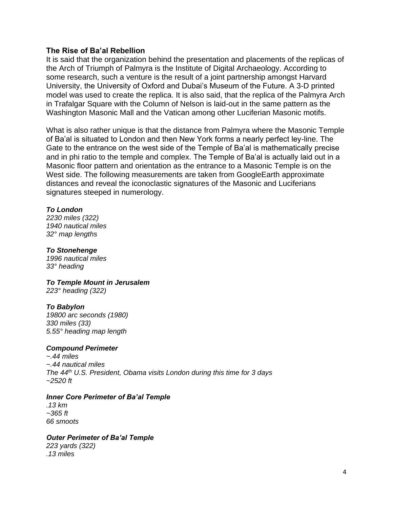## **The Rise of Ba'al Rebellion**

It is said that the organization behind the presentation and placements of the replicas of the Arch of Triumph of Palmyra is the Institute of Digital Archaeology. According to some research, such a venture is the result of a joint partnership amongst Harvard University, the University of Oxford and Dubai's Museum of the Future. A 3-D printed model was used to create the replica. It is also said, that the replica of the Palmyra Arch in Trafalgar Square with the Column of Nelson is laid-out in the same pattern as the Washington Masonic Mall and the Vatican among other Luciferian Masonic motifs.

What is also rather unique is that the distance from Palmyra where the Masonic Temple of Ba'al is situated to London and then New York forms a nearly perfect ley-line. The Gate to the entrance on the west side of the Temple of Ba'al is mathematically precise and in phi ratio to the temple and complex. The Temple of Ba'al is actually laid out in a Masonic floor pattern and orientation as the entrance to a Masonic Temple is on the West side. The following measurements are taken from GoogleEarth approximate distances and reveal the iconoclastic signatures of the Masonic and Luciferians signatures steeped in numerology.

#### *To London*

*2230 miles (322) 1940 nautical miles 32° map lengths*

*To Stonehenge 1996 nautical miles* 

*33° heading* 

*To Temple Mount in Jerusalem 223° heading (322)*

#### *To Babylon*

*19800 arc seconds (1980) 330 miles (33) 5.55° heading map length*

#### *Compound Perimeter*

*~.44 miles ~.44 nautical miles The 44th U.S. President, Obama visits London during this time for 3 days ~2520 ft*

#### *Inner Core Perimeter of Ba'al Temple*

*.13 km ~365 ft 66 smoots*

*Outer Perimeter of Ba'al Temple*

*223 yards (322) .13 miles*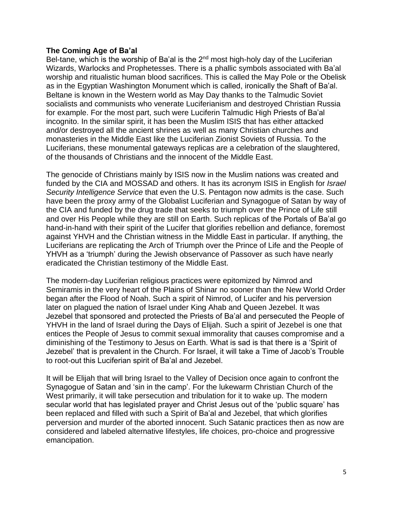# **The Coming Age of Ba'al**

Bel-tane, which is the worship of Ba'al is the  $2<sup>nd</sup>$  most high-holy day of the Luciferian Wizards, Warlocks and Prophetesses. There is a phallic symbols associated with Ba'al worship and ritualistic human blood sacrifices. This is called the May Pole or the Obelisk as in the Egyptian Washington Monument which is called, ironically the Shaft of Ba'al. Beltane is known in the Western world as May Day thanks to the Talmudic Soviet socialists and communists who venerate Luciferianism and destroyed Christian Russia for example. For the most part, such were Luciferin Talmudic High Priests of Ba'al incognito. In the similar spirit, it has been the Muslim ISIS that has either attacked and/or destroyed all the ancient shrines as well as many Christian churches and monasteries in the Middle East like the Luciferian Zionist Soviets of Russia. To the Luciferians, these monumental gateways replicas are a celebration of the slaughtered, of the thousands of Christians and the innocent of the Middle East.

The genocide of Christians mainly by ISIS now in the Muslim nations was created and funded by the CIA and MOSSAD and others. It has its acronym ISIS in English for *Israel Security Intelligence Service* that even the U.S. Pentagon now admits is the case. Such have been the proxy army of the Globalist Luciferian and Synagogue of Satan by way of the CIA and funded by the drug trade that seeks to triumph over the Prince of Life still and over His People while they are still on Earth. Such replicas of the Portals of Ba'al go hand-in-hand with their spirit of the Lucifer that glorifies rebellion and defiance, foremost against YHVH and the Christian witness in the Middle East in particular. If anything, the Luciferians are replicating the Arch of Triumph over the Prince of Life and the People of YHVH as a 'triumph' during the Jewish observance of Passover as such have nearly eradicated the Christian testimony of the Middle East.

The modern-day Luciferian religious practices were epitomized by Nimrod and Semiramis in the very heart of the Plains of Shinar no sooner than the New World Order began after the Flood of Noah. Such a spirit of Nimrod, of Lucifer and his perversion later on plagued the nation of Israel under King Ahab and Queen Jezebel. It was Jezebel that sponsored and protected the Priests of Ba'al and persecuted the People of YHVH in the land of Israel during the Days of Elijah. Such a spirit of Jezebel is one that entices the People of Jesus to commit sexual immorality that causes compromise and a diminishing of the Testimony to Jesus on Earth. What is sad is that there is a 'Spirit of Jezebel' that is prevalent in the Church. For Israel, it will take a Time of Jacob's Trouble to root-out this Luciferian spirit of Ba'al and Jezebel.

It will be Elijah that will bring Israel to the Valley of Decision once again to confront the Synagogue of Satan and 'sin in the camp'. For the lukewarm Christian Church of the West primarily, it will take persecution and tribulation for it to wake up. The modern secular world that has legislated prayer and Christ Jesus out of the 'public square' has been replaced and filled with such a Spirit of Ba'al and Jezebel, that which glorifies perversion and murder of the aborted innocent. Such Satanic practices then as now are considered and labeled alternative lifestyles, life choices, pro-choice and progressive emancipation.